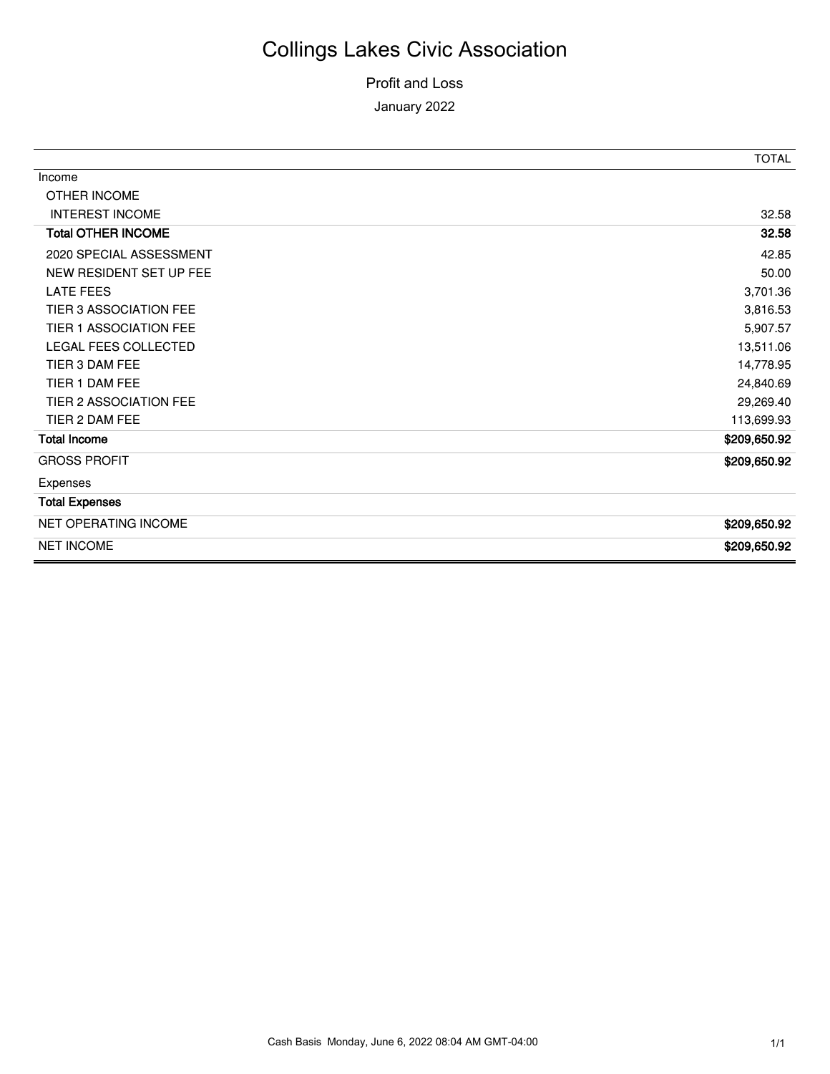#### Profit and Loss January 2022

|                               | <b>TOTAL</b> |
|-------------------------------|--------------|
| Income                        |              |
| <b>OTHER INCOME</b>           |              |
| <b>INTEREST INCOME</b>        | 32.58        |
| <b>Total OTHER INCOME</b>     | 32.58        |
| 2020 SPECIAL ASSESSMENT       | 42.85        |
| NEW RESIDENT SET UP FEE       | 50.00        |
| <b>LATE FEES</b>              | 3,701.36     |
| <b>TIER 3 ASSOCIATION FEE</b> | 3,816.53     |
| TIER 1 ASSOCIATION FEE        | 5,907.57     |
| LEGAL FEES COLLECTED          | 13,511.06    |
| TIER 3 DAM FEE                | 14,778.95    |
| TIER 1 DAM FEE                | 24,840.69    |
| TIER 2 ASSOCIATION FEE        | 29,269.40    |
| TIER 2 DAM FEE                | 113,699.93   |
| <b>Total Income</b>           | \$209,650.92 |
| <b>GROSS PROFIT</b>           | \$209,650.92 |
| Expenses                      |              |
| <b>Total Expenses</b>         |              |
| NET OPERATING INCOME          | \$209,650.92 |
| <b>NET INCOME</b>             | \$209,650.92 |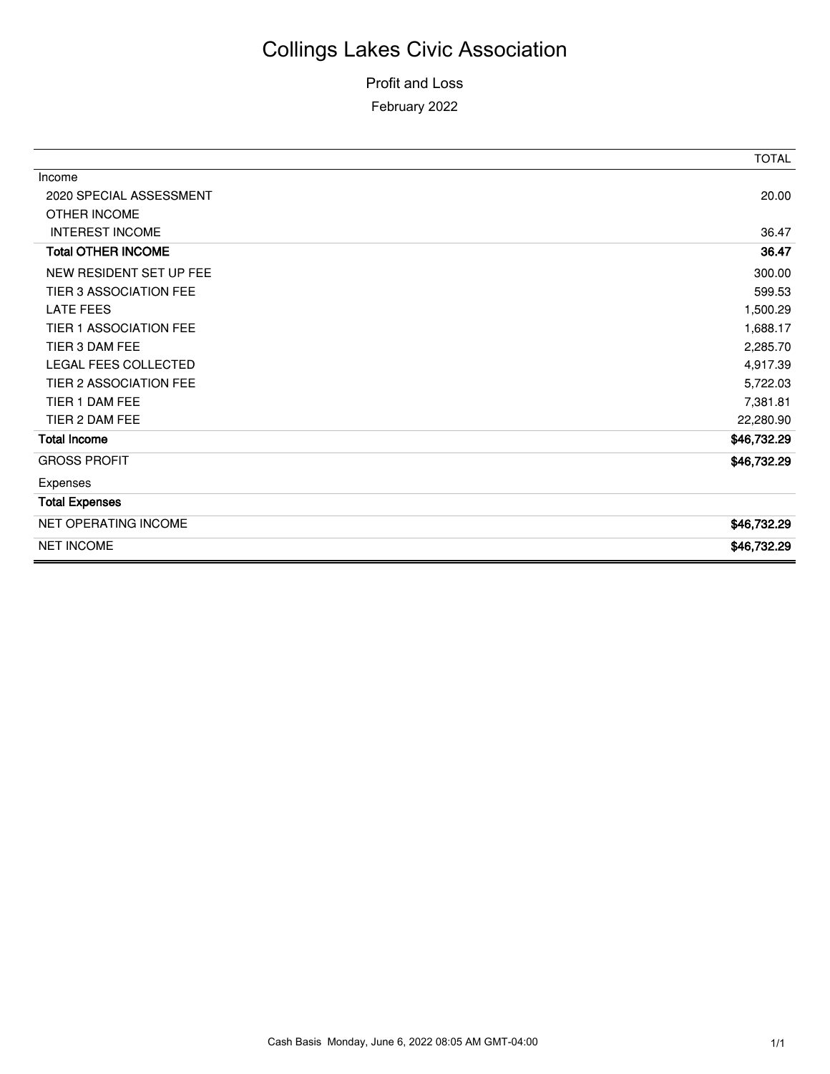#### Profit and Loss February 2022

|                           | <b>TOTAL</b> |
|---------------------------|--------------|
| Income                    |              |
| 2020 SPECIAL ASSESSMENT   | 20.00        |
| OTHER INCOME              |              |
| <b>INTEREST INCOME</b>    | 36.47        |
| <b>Total OTHER INCOME</b> | 36.47        |
| NEW RESIDENT SET UP FEE   | 300.00       |
| TIER 3 ASSOCIATION FEE    | 599.53       |
| <b>LATE FEES</b>          | 1,500.29     |
| TIER 1 ASSOCIATION FEE    | 1,688.17     |
| TIER 3 DAM FEE            | 2,285.70     |
| LEGAL FEES COLLECTED      | 4,917.39     |
| TIER 2 ASSOCIATION FEE    | 5,722.03     |
| TIER 1 DAM FEE            | 7,381.81     |
| TIER 2 DAM FEE            | 22,280.90    |
| <b>Total Income</b>       | \$46,732.29  |
| <b>GROSS PROFIT</b>       | \$46,732.29  |
| Expenses                  |              |
| <b>Total Expenses</b>     |              |
| NET OPERATING INCOME      | \$46,732.29  |
| <b>NET INCOME</b>         | \$46,732.29  |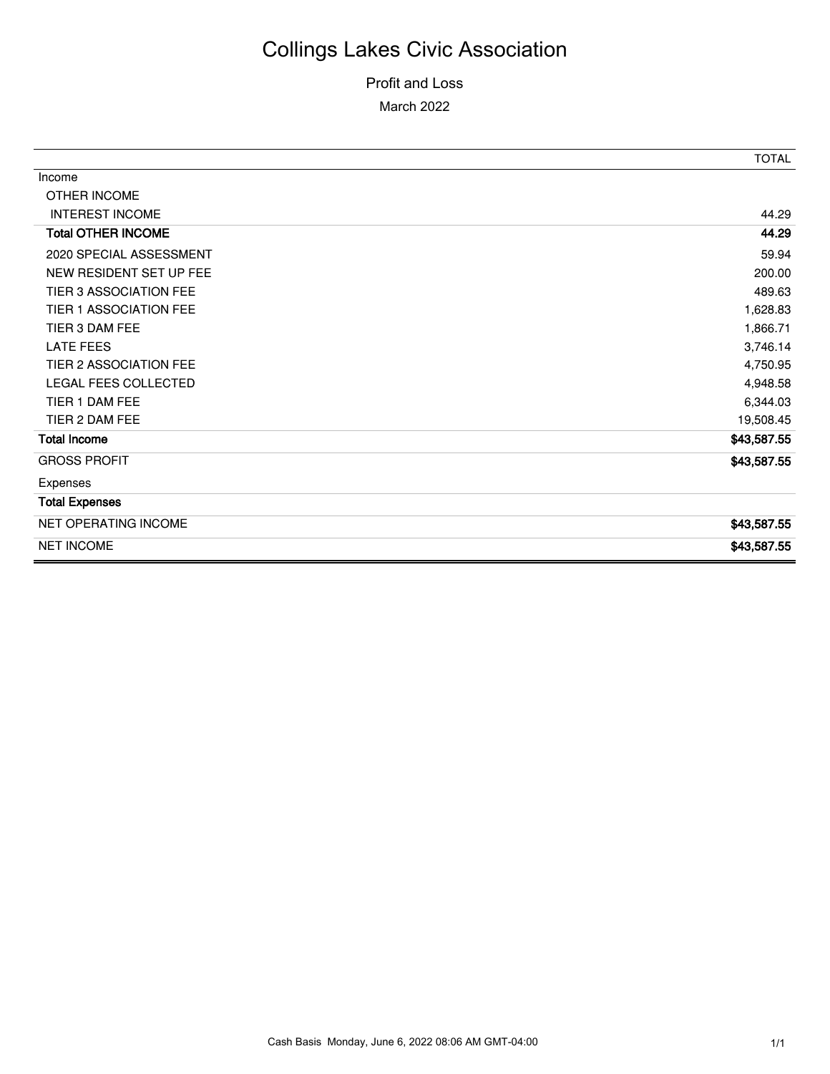#### Profit and Loss March 2022

|                           | <b>TOTAL</b> |
|---------------------------|--------------|
| Income                    |              |
| OTHER INCOME              |              |
| <b>INTEREST INCOME</b>    | 44.29        |
| <b>Total OTHER INCOME</b> | 44.29        |
| 2020 SPECIAL ASSESSMENT   | 59.94        |
| NEW RESIDENT SET UP FEE   | 200.00       |
| TIER 3 ASSOCIATION FEE    | 489.63       |
| TIER 1 ASSOCIATION FEE    | 1,628.83     |
| TIER 3 DAM FEE            | 1,866.71     |
| <b>LATE FEES</b>          | 3,746.14     |
| TIER 2 ASSOCIATION FEE    | 4,750.95     |
| LEGAL FEES COLLECTED      | 4,948.58     |
| TIER 1 DAM FEE            | 6,344.03     |
| TIER 2 DAM FEE            | 19,508.45    |
| <b>Total Income</b>       | \$43,587.55  |
| <b>GROSS PROFIT</b>       | \$43,587.55  |
| Expenses                  |              |
| <b>Total Expenses</b>     |              |
| NET OPERATING INCOME      | \$43,587.55  |
| <b>NET INCOME</b>         | \$43,587.55  |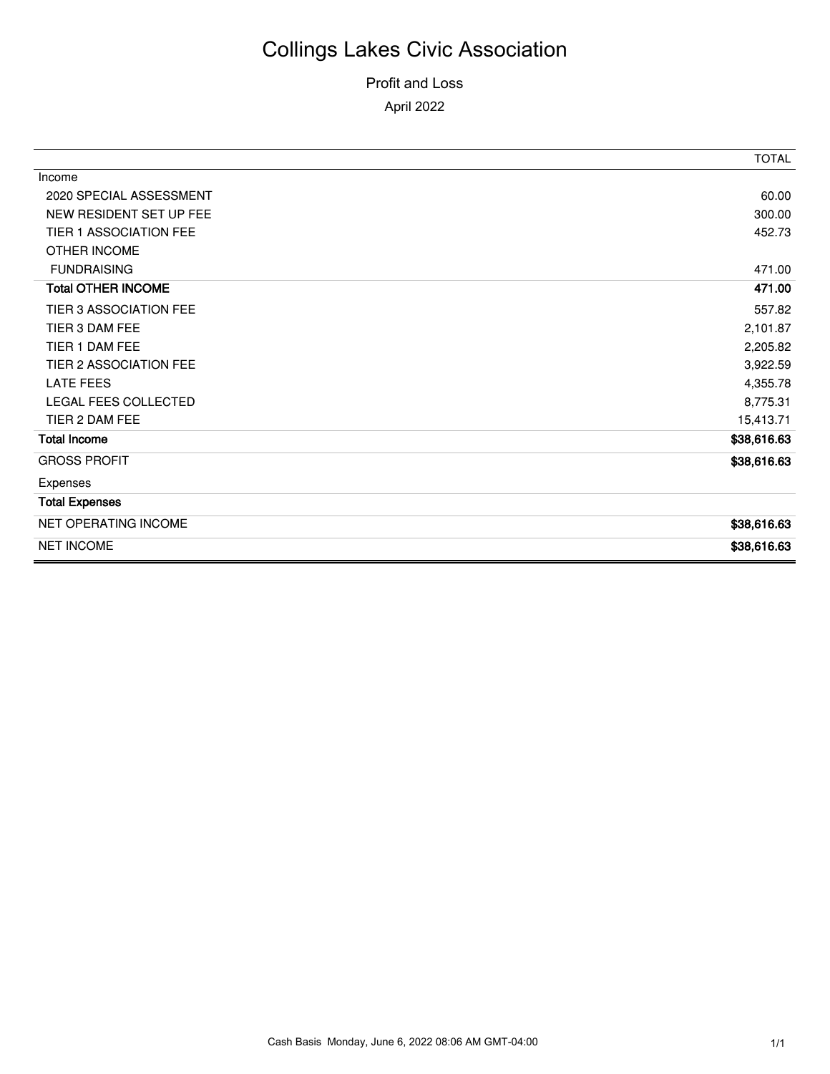### Profit and Loss

April 2022

|                             | <b>TOTAL</b> |
|-----------------------------|--------------|
| Income                      |              |
| 2020 SPECIAL ASSESSMENT     | 60.00        |
| NEW RESIDENT SET UP FEE     | 300.00       |
| TIER 1 ASSOCIATION FEE      | 452.73       |
| OTHER INCOME                |              |
| <b>FUNDRAISING</b>          | 471.00       |
| <b>Total OTHER INCOME</b>   | 471.00       |
| TIER 3 ASSOCIATION FEE      | 557.82       |
| TIER 3 DAM FEE              | 2,101.87     |
| TIER 1 DAM FEE              | 2,205.82     |
| TIER 2 ASSOCIATION FEE      | 3,922.59     |
| <b>LATE FEES</b>            | 4,355.78     |
| <b>LEGAL FEES COLLECTED</b> | 8,775.31     |
| TIER 2 DAM FEE              | 15,413.71    |
| Total Income                | \$38,616.63  |
| <b>GROSS PROFIT</b>         | \$38,616.63  |
| Expenses                    |              |
| <b>Total Expenses</b>       |              |
| NET OPERATING INCOME        | \$38,616.63  |
| <b>NET INCOME</b>           | \$38,616.63  |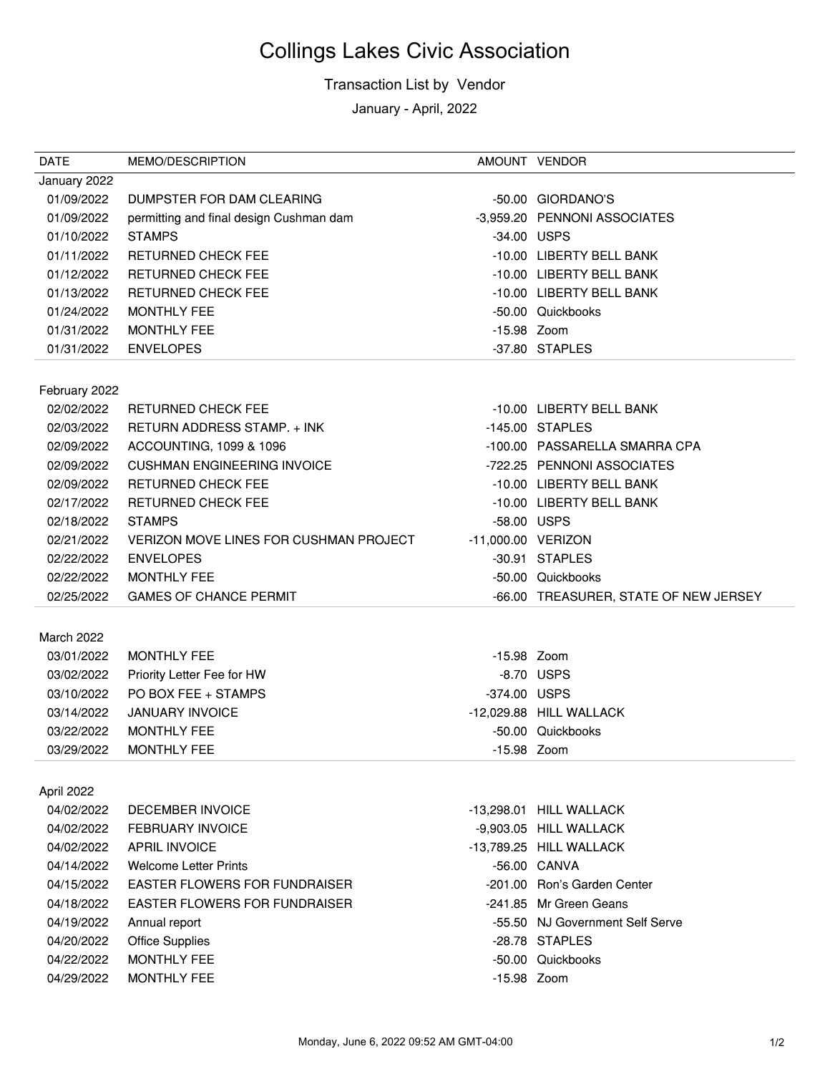#### Transaction List by Vendor

January - April, 2022

| <b>DATE</b>              | MEMO/DESCRIPTION                                  |                    | AMOUNT VENDOR                         |
|--------------------------|---------------------------------------------------|--------------------|---------------------------------------|
| January 2022             |                                                   |                    |                                       |
| 01/09/2022               | DUMPSTER FOR DAM CLEARING                         |                    | -50.00 GIORDANO'S                     |
| 01/09/2022               | permitting and final design Cushman dam           |                    | -3,959.20 PENNONI ASSOCIATES          |
| 01/10/2022               | <b>STAMPS</b>                                     |                    | -34.00 USPS                           |
| 01/11/2022               | <b>RETURNED CHECK FEE</b>                         |                    | -10.00 LIBERTY BELL BANK              |
| 01/12/2022               | <b>RETURNED CHECK FEE</b>                         |                    | -10.00 LIBERTY BELL BANK              |
| 01/13/2022               | <b>RETURNED CHECK FEE</b>                         |                    | -10.00 LIBERTY BELL BANK              |
| 01/24/2022               | <b>MONTHLY FEE</b>                                |                    | -50.00 Quickbooks                     |
| 01/31/2022               | <b>MONTHLY FEE</b>                                | -15.98 Zoom        |                                       |
| 01/31/2022               | <b>ENVELOPES</b>                                  |                    | -37.80 STAPLES                        |
|                          |                                                   |                    |                                       |
| February 2022            |                                                   |                    |                                       |
| 02/02/2022               | <b>RETURNED CHECK FEE</b>                         |                    | -10.00 LIBERTY BELL BANK              |
| 02/03/2022               | RETURN ADDRESS STAMP. + INK                       |                    | -145.00 STAPLES                       |
| 02/09/2022               | ACCOUNTING, 1099 & 1096                           |                    | -100.00 PASSARELLA SMARRA CPA         |
| 02/09/2022               | <b>CUSHMAN ENGINEERING INVOICE</b>                |                    | -722.25 PENNONI ASSOCIATES            |
| 02/09/2022               | <b>RETURNED CHECK FEE</b>                         |                    | -10.00 LIBERTY BELL BANK              |
| 02/17/2022               | <b>RETURNED CHECK FEE</b>                         |                    | -10.00 LIBERTY BELL BANK              |
| 02/18/2022               | <b>STAMPS</b>                                     | -58.00 USPS        |                                       |
| 02/21/2022               | VERIZON MOVE LINES FOR CUSHMAN PROJECT            | -11,000.00 VERIZON |                                       |
| 02/22/2022               | <b>ENVELOPES</b>                                  |                    | -30.91 STAPLES                        |
| 02/22/2022               | <b>MONTHLY FEE</b>                                |                    | -50.00 Quickbooks                     |
| 02/25/2022               | <b>GAMES OF CHANCE PERMIT</b>                     |                    | -66.00 TREASURER, STATE OF NEW JERSEY |
| March 2022               |                                                   |                    |                                       |
| 03/01/2022               | <b>MONTHLY FEE</b>                                | -15.98 Zoom        |                                       |
| 03/02/2022               |                                                   |                    | -8.70 USPS                            |
| 03/10/2022               | Priority Letter Fee for HW<br>PO BOX FEE + STAMPS | -374.00 USPS       |                                       |
| 03/14/2022               | <b>JANUARY INVOICE</b>                            |                    | -12,029.88 HILL WALLACK               |
|                          |                                                   |                    |                                       |
| 03/22/2022<br>03/29/2022 | <b>MONTHLY FEE</b><br><b>MONTHLY FEE</b>          | -15.98 Zoom        | -50.00 Quickbooks                     |
|                          |                                                   |                    |                                       |
| April 2022               |                                                   |                    |                                       |
| 04/02/2022               | <b>DECEMBER INVOICE</b>                           |                    | -13.298.01 HILL WALLACK               |
| 04/02/2022               | <b>FEBRUARY INVOICE</b>                           |                    | -9,903.05 HILL WALLACK                |
| 04/02/2022               | <b>APRIL INVOICE</b>                              |                    | -13,789.25 HILL WALLACK               |
| 04/14/2022               | <b>Welcome Letter Prints</b>                      |                    | -56.00 CANVA                          |
| 04/15/2022               | <b>EASTER FLOWERS FOR FUNDRAISER</b>              |                    | -201.00 Ron's Garden Center           |
| 04/18/2022               | <b>EASTER FLOWERS FOR FUNDRAISER</b>              |                    | -241.85 Mr Green Geans                |
| 04/19/2022               | Annual report                                     |                    | -55.50 NJ Government Self Serve       |
| 04/20/2022               | <b>Office Supplies</b>                            |                    | -28.78 STAPLES                        |
| 04/22/2022               | <b>MONTHLY FEE</b>                                |                    | -50.00 Quickbooks                     |
| 04/29/2022               | <b>MONTHLY FEE</b>                                | -15.98 Zoom        |                                       |
|                          |                                                   |                    |                                       |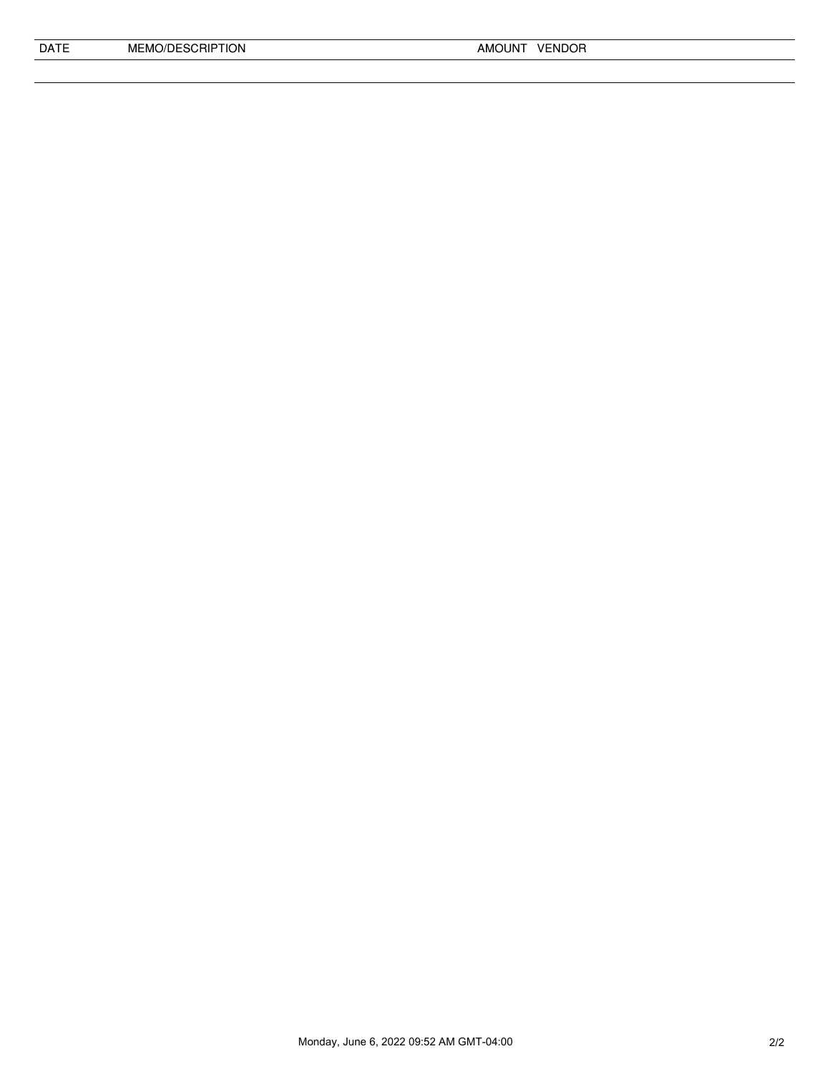| <b>DATF</b> | MEMO/DESCRIPTION |
|-------------|------------------|
|             |                  |

Monday, June 6, 2022 09:52 AM GMT-04:00